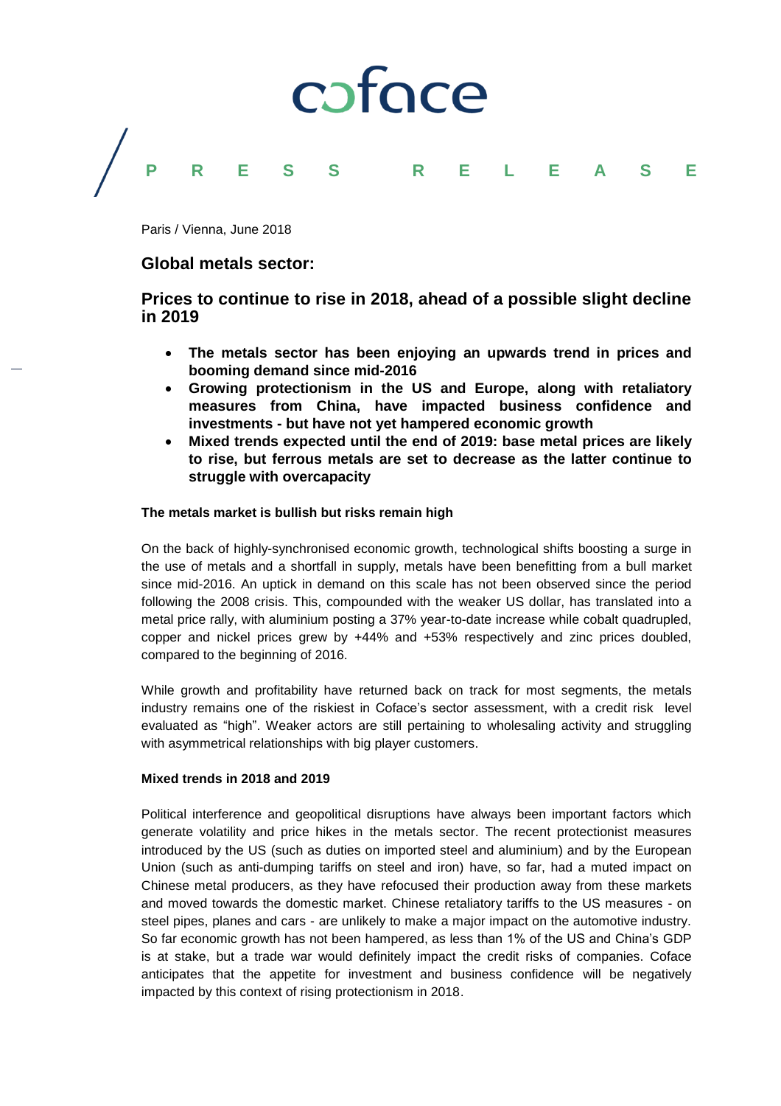

Paris / Vienna, June 2018

## **Global metals sector:**

# **Prices to continue to rise in 2018, ahead of a possible slight decline in 2019**

- **The metals sector has been enjoying an upwards trend in prices and booming demand since mid-2016**
- **Growing protectionism in the US and Europe, along with retaliatory measures from China, have impacted business confidence and investments - but have not yet hampered economic growth**
- **Mixed trends expected until the end of 2019: base metal prices are likely to rise, but ferrous metals are set to decrease as the latter continue to struggle with overcapacity**

## **The metals market is bullish but risks remain high**

On the back of highly-synchronised economic growth, technological shifts boosting a surge in the use of metals and a shortfall in supply, metals have been benefitting from a bull market since mid-2016. An uptick in demand on this scale has not been observed since the period following the 2008 crisis. This, compounded with the weaker US dollar, has translated into a metal price rally, with aluminium posting a 37% year-to-date increase while cobalt quadrupled, copper and nickel prices grew by +44% and +53% respectively and zinc prices doubled, compared to the beginning of 2016.

While growth and profitability have returned back on track for most segments, the metals industry remains one of the riskiest in Coface's sector assessment, with a credit risk level evaluated as "high". Weaker actors are still pertaining to wholesaling activity and struggling with asymmetrical relationships with big player customers.

## **Mixed trends in 2018 and 2019**

Political interference and geopolitical disruptions have always been important factors which generate volatility and price hikes in the metals sector. The recent protectionist measures introduced by the US (such as duties on imported steel and aluminium) and by the European Union (such as anti-dumping tariffs on steel and iron) have, so far, had a muted impact on Chinese metal producers, as they have refocused their production away from these markets and moved towards the domestic market. Chinese retaliatory tariffs to the US measures - on steel pipes, planes and cars - are unlikely to make a major impact on the automotive industry. So far economic growth has not been hampered, as less than 1% of the US and China's GDP is at stake, but a trade war would definitely impact the credit risks of companies. Coface anticipates that the appetite for investment and business confidence will be negatively impacted by this context of rising protectionism in 2018.